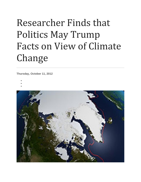## Researcher Finds that Politics May Trump Facts on View of Climate Change

**Thursday, October 11, 2012**

- •
- •
- •

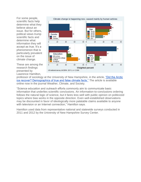For some people, scientific facts help determine what they believe about an issue. But for others, political views trump scientific facts and determine what information they will accept as true. It's a phenomenon that is particularly prevalent on the issue of climate change.

These are among the research findings presented by Lawrence Hamilton,



professor of sociology at the University of New Hampshire, in the article, ["Did the Arctic](http://journals.ametsoc.org/doi/abs/10.1175/WCAS-D-12-00008.1)  [ice recover? Demographics of true and false climate facts."](http://journals.ametsoc.org/doi/abs/10.1175/WCAS-D-12-00008.1) The article is available online now in the journal Weather, Climate, and Society.

"Science education and outreach efforts commonly aim to communicate basic information that underlies scientific conclusions. An information-to-conclusions ordering follows the natural logic of science, but it fares less well with public opinion on politicized topics where bias works in the opposite direction. Even well-established observations may be discounted in favor of ideologically more palatable claims available to anyone with television or an Internet connection," Hamilton says.

Hamilton used data from representative national and statewide surveys conducted in 2011 and 2012 by the University of New Hampshire Survey Center.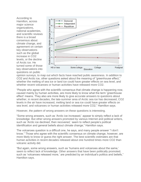According to Hamilton, across major science organizations, national academies, and scientific reviews there is a broad consensus about climate change, and agreement on certain key observations such as the global increase in CO2 levels, or the decline of Arctic ice. He turned some of those key observations into questions on public



opinion surveys, to map out which facts have reached public awareness. In addition to CO2 and Arctic ice, other questions asked about the meaning of "greenhouse effect," whether the melting of sea ice or land ice could have greater effects on sea level, and whether recent volcanoes or human activities have released more CO2.

"People who agree with the scientific consensus that climate change is happening now, caused mainly by human activities, are more likely to know what the term 'greenhouse effect' means. They also are more likely to give accurate answers to questions about whether, in recent decades, the late-summer area of Arctic sea ice has decreased, CO2 levels in the air have increased, melting land or sea ice could have greater effects on sea level, and volcanoes or human activities released more CO2," Hamilton says.

However, the pattern of wrong answers on these questions is interesting.

"Some wrong answers, such as 'Arctic ice increased,' appear to simply reflect a lack of knowledge. But other wrong answers promoted by various Internet and political writers, such as 'Arctic ice declined, then recovered,' seem to reflect people's political identification and general beliefs about climate change," Hamilton says.

The volcanoes question is a difficult one, he says, and many people answer "I don't know." Those who agree with the scientific consensus on climate change, however, are more likely to know or guess the right answer. The best scientific estimates are that human activities in recent decades released about one hundred times more CO2 than volcanic activity did.

"But again, some wrong answers, such as 'humans and volcanoes about the same,' seem to reflect lack of knowledge. Other answers that have been politically promoted, such as 'volcanoes released more,' are predicted by an individual's politics and beliefs," Hamilton says.